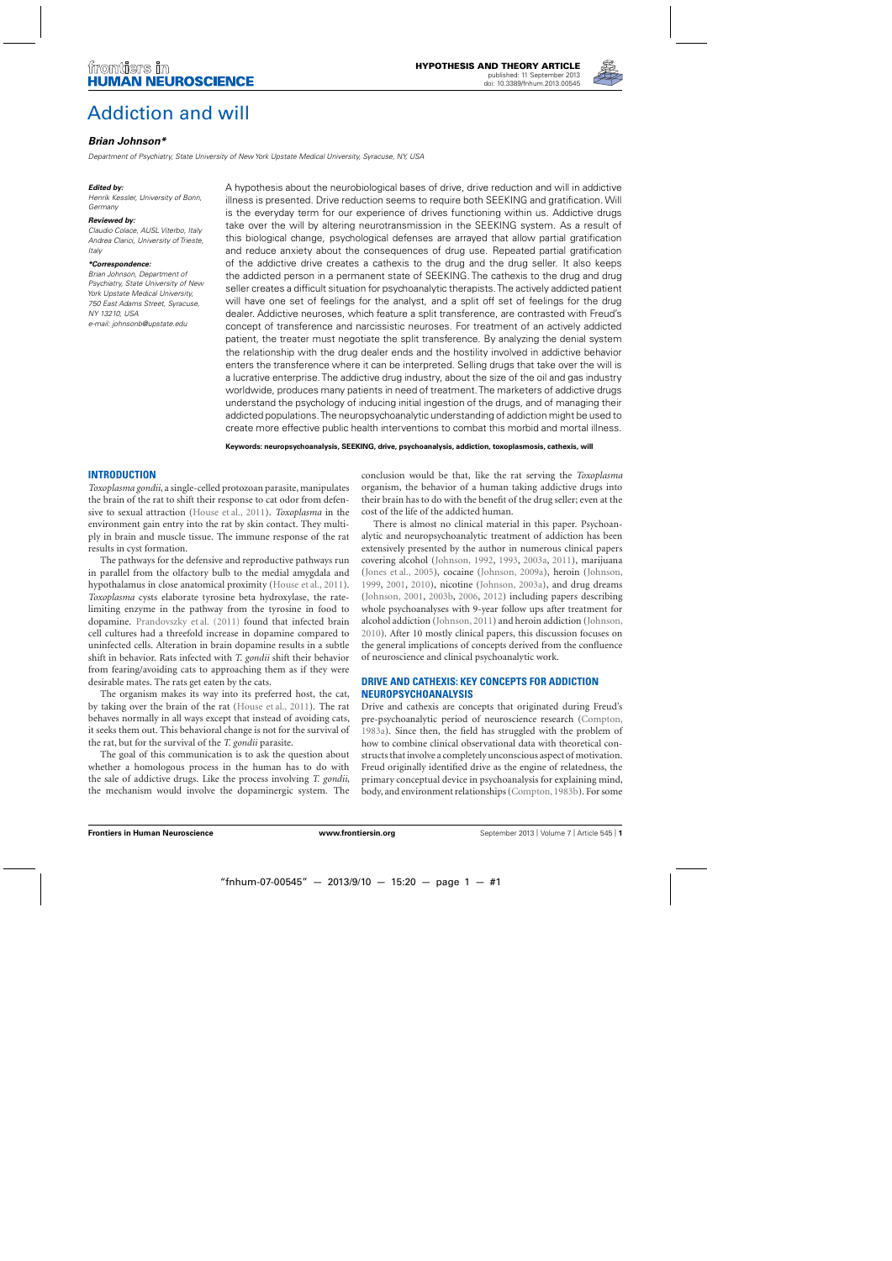

# [Addiction and will](http://www.frontiersin.org/Human_Neuroscience/10.3389/fnhum.2013.00545/abstract)

# *[Brian Johnson\\*](http://www.frontiersin.org/Community/WhosWhoActivity.aspx?sname=BrianJohnson&UID=28772)*

Department of Psychiatry, State University of New York Upstate Medical University, Syracuse, NY, USA

#### *Edited by:*

Henrik Kessler, University of Bonn, Germany

#### *Reviewed by:*

Claudio Colace, AUSL Viterbo, Italy Andrea Clarici, University of Trieste, Italy

#### *\*Correspondence:*

Brian Johnson, Department of Psychiatry, State University of New York Upstate Medical University, 750 East Adams Street, Syracuse, NY 13210, USA e-mail: [johnsonb@upstate.edu](mailto:johnsonb@upstate.edu)

A hypothesis about the neurobiological bases of drive, drive reduction and will in addictive illness is presented. Drive reduction seems to require both SEEKING and gratification. Will is the everyday term for our experience of drives functioning within us. Addictive drugs take over the will by altering neurotransmission in the SEEKING system. As a result of this biological change, psychological defenses are arrayed that allow partial gratification and reduce anxiety about the consequences of drug use. Repeated partial gratification of the addictive drive creates a cathexis to the drug and the drug seller. It also keeps the addicted person in a permanent state of SEEKING. The cathexis to the drug and drug seller creates a difficult situation for psychoanalytic therapists. The actively addicted patient will have one set of feelings for the analyst, and a split off set of feelings for the drug dealer. Addictive neuroses, which feature a split transference, are contrasted with Freud's concept of transference and narcissistic neuroses. For treatment of an actively addicted patient, the treater must negotiate the split transference. By analyzing the denial system the relationship with the drug dealer ends and the hostility involved in addictive behavior enters the transference where it can be interpreted. Selling drugs that take over the will is a lucrative enterprise. The addictive drug industry, about the size of the oil and gas industry worldwide, produces many patients in need of treatment. The marketers of addictive drugs understand the psychology of inducing initial ingestion of the drugs, and of managing their addicted populations.The neuropsychoanalytic understanding of addiction might be used to create more effective public health interventions to combat this morbid and mortal illness.

**Keywords: neuropsychoanalysis, SEEKING, drive, psychoanalysis, addiction, toxoplasmosis, cathexis, will**

# **INTRODUCTION**

*Toxoplasma gondii*, a single-celled protozoan parasite, manipulates the brain of the rat to shift their response to cat odor from defensive to sexual attraction [\(House et al.](#page-9-0), [2011\)](#page-9-0). *Toxoplasma* in the environment gain entry into the rat by skin contact. They multiply in brain and muscle tissue. The immune response of the rat results in cyst formation.

The pathways for the defensive and reproductive pathways run in parallel from the olfactory bulb to the medial amygdala and hypothalamus in close anatomical proximity [\(House et al., 2011](#page-9-0)). *Toxoplasma* cysts elaborate tyrosine beta hydroxylase, the ratelimiting enzyme in the pathway from the tyrosine in food to dopamine. [Prandovszky et al.](#page-10-0) [\(2011](#page-10-0)) found that infected brain cell cultures had a threefold increase in dopamine compared to uninfected cells. Alteration in brain dopamine results in a subtle shift in behavior. Rats infected with *T. gondii* shift their behavior from fearing/avoiding cats to approaching them as if they were desirable mates. The rats get eaten by the cats.

The organism makes its way into its preferred host, the cat, by taking over the brain of the rat [\(House et al., 2011](#page-9-0)). The rat behaves normally in all ways except that instead of avoiding cats, it seeks them out. This behavioral change is not for the survival of the rat, but for the survival of the *T. gondii* parasite.

The goal of this communication is to ask the question about whether a homologous process in the human has to do with the sale of addictive drugs. Like the process involving *T. gondii*, the mechanism would involve the dopaminergic system. The conclusion would be that, like the rat serving the *Toxoplasma* organism, the behavior of a human taking addictive drugs into their brain has to do with the benefit of the drug seller; even at the cost of the life of the addicted human.

There is almost no clinical material in this paper. Psychoanalytic and neuropsychoanalytic treatment of addiction has been extensively presented by the author in numerous clinical papers covering alcohol [\(Johnson, 1992,](#page-9-0) [1993](#page-9-0), [2003a,](#page-9-0) [2011\)](#page-9-0), marijuana [\(Jones et al., 2005](#page-9-0)), cocaine [\(Johnson, 2009a](#page-9-0)), heroin [\(Johnson](#page-9-0), [1999,](#page-9-0) [2001,](#page-9-0) [2010](#page-9-0)), nicotine [\(Johnson, 2003a](#page-9-0)), and drug dreams [\(Johnson](#page-9-0), [2001,](#page-9-0) [2003b,](#page-9-0) [2006](#page-9-0), [2012\)](#page-9-0) including papers describing whole psychoanalyses with 9-year follow ups after treatment for alcohol addiction [\(Johnson, 2011](#page-9-0)) and heroin addiction [\(Johnson](#page-9-0), [2010\)](#page-9-0). After 10 mostly clinical papers, this discussion focuses on the general implications of concepts derived from the confluence of neuroscience and clinical psychoanalytic work.

# **DRIVE AND CATHEXIS: KEY CONCEPTS FOR ADDICTION NEUROPSYCHOANALYSIS**

Drive and cathexis are concepts that originated during Freud's pre-psychoanalytic period of neuroscience research [\(Compton](#page-9-0), [1983a\)](#page-9-0). Since then, the field has struggled with the problem of how to combine clinical observational data with theoretical constructs that involve a completely unconscious aspect of motivation. Freud originally identified drive as the engine of relatedness, the primary conceptual device in psychoanalysis for explaining mind, body, and environment relationships [\(Compton,1983b](#page-9-0)). For some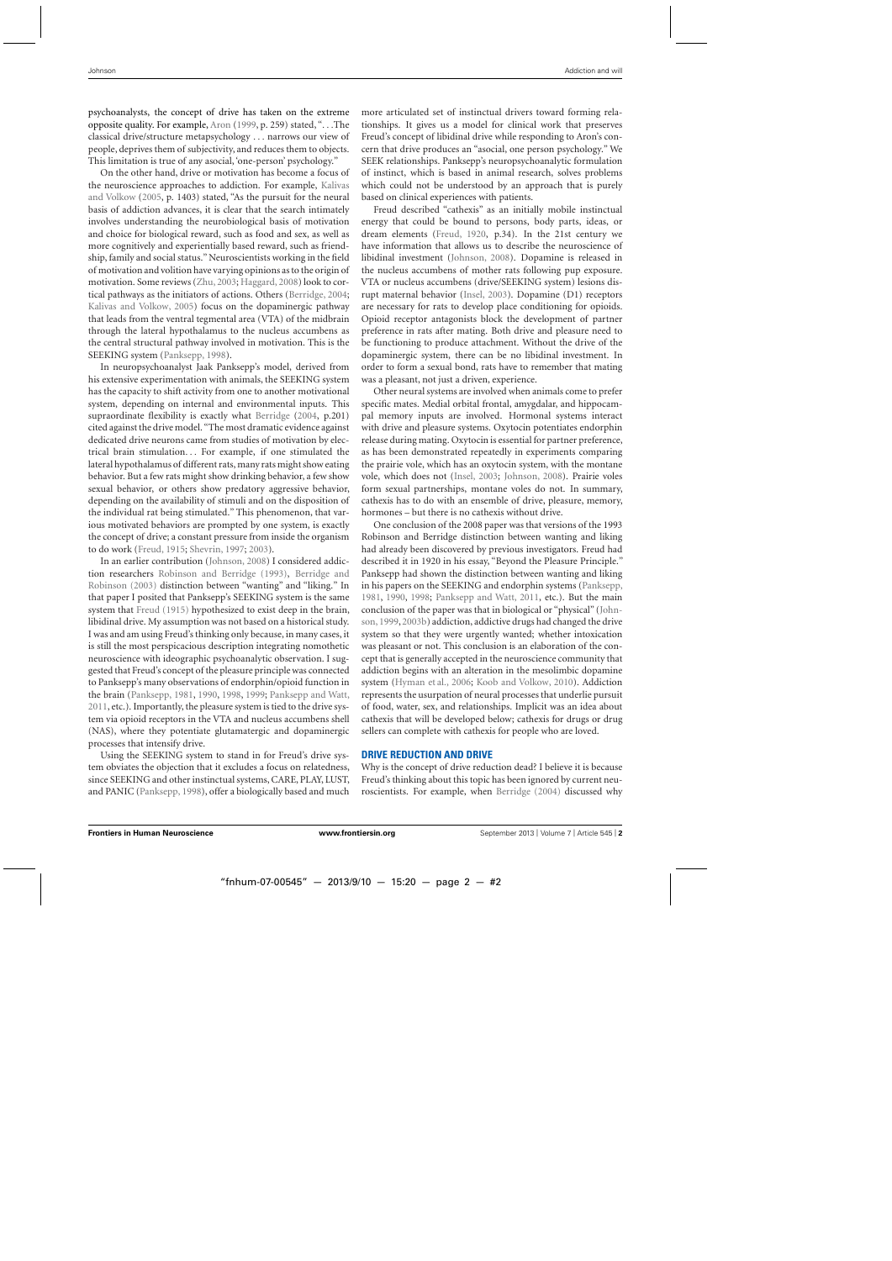psychoanalysts, the concept of drive has taken on the extreme opposite quality. For example, [Aron](#page-9-0) [\(1999,](#page-9-0) p. 259) stated, "...The classical drive/structure metapsychology ... narrows our view of people, deprives them of subjectivity, and reduces them to objects. This limitation is true of any asocial, 'one-person' psychology."

On the other hand, drive or motivation has become a focus of the neuros[cience approaches to addiction. For example,](#page-9-0) Kalivas and Volkow [\(2005](#page-9-0), p. 1403) stated, "As the pursuit for the neural basis of addiction advances, it is clear that the search intimately involves understanding the neurobiological basis of motivation and choice for biological reward, such as food and sex, as well as more cognitively and experientially based reward, such as friendship, family and social status." Neuroscientists working in the field of motivation and volition have varying opinions as to the origin of motivation. Some reviews [\(Zhu](#page-10-0), [2003](#page-10-0); [Haggard, 2008\)](#page-9-0) look to cortical pathways as the initiators of actions. Others [\(Berridge](#page-9-0), [2004;](#page-9-0) [Kalivas and Volkow](#page-9-0), [2005\)](#page-9-0) focus on the dopaminergic pathway that leads from the ventral tegmental area (VTA) of the midbrain through the lateral hypothalamus to the nucleus accumbens as the central structural pathway involved in motivation. This is the SEEKING system [\(Panksepp](#page-10-0), [1998](#page-10-0)).

In neuropsychoanalyst Jaak Panksepp's model, derived from his extensive experimentation with animals, the SEEKING system has the capacity to shift activity from one to another motivational system, depending on internal and environmental inputs. This supraordinate flexibility is exactly what [Berridge](#page-9-0) [\(2004](#page-9-0), p.201) cited against the drive model. "The most dramatic evidence against dedicated drive neurons came from studies of motivation by electrical brain stimulation... For example, if one stimulated the lateral hypothalamus of different rats, many rats might show eating behavior. But a few rats might show drinking behavior, a few show sexual behavior, or others show predatory aggressive behavior, depending on the availability of stimuli and on the disposition of the individual rat being stimulated." This phenomenon, that various motivated behaviors are prompted by one system, is exactly the concept of drive; a constant pressure from inside the organism to do work [\(Freud, 1915;](#page-9-0) [Shevrin, 1997;](#page-10-0) [2003](#page-10-0)).

In an earlier contribution [\(Johnson, 2008](#page-9-0)) I considered addiction researchers [Robinson and Berridge](#page-10-0)[\(1993](#page-10-0)[\),](#page-9-0) Berridge and Robinson [\(2003\)](#page-9-0) distinction between "wanting" and "liking." In that paper I posited that Panksepp's SEEKING system is the same system that [Freud](#page-9-0) [\(1915](#page-9-0)) hypothesized to exist deep in the brain, libidinal drive. My assumption was not based on a historical study. I was and am using Freud's thinking only because, in many cases, it is still the most perspicacious description integrating nomothetic neuroscience with ideographic psychoanalytic observation. I suggested that Freud's concept of the pleasure principle was connected to Panksepp's many observations of endorphin/opioid function in the brain [\(Panksepp](#page-10-0), [1981,](#page-10-0) [1990](#page-10-0), [1998,](#page-10-0) [1999](#page-10-0); [Panksepp and Watt](#page-10-0), [2011,](#page-10-0) etc.). Importantly, the pleasure system is tied to the drive system via opioid receptors in the VTA and nucleus accumbens shell (NAS), where they potentiate glutamatergic and dopaminergic processes that intensify drive.

Using the SEEKING system to stand in for Freud's drive system obviates the objection that it excludes a focus on relatedness, since SEEKING and other instinctual systems, CARE, PLAY, LUST, and PANIC [\(Panksepp](#page-10-0), [1998](#page-10-0)), offer a biologically based and much more articulated set of instinctual drivers toward forming relationships. It gives us a model for clinical work that preserves Freud's concept of libidinal drive while responding to Aron's concern that drive produces an "asocial, one person psychology." We SEEK relationships. Panksepp's neuropsychoanalytic formulation of instinct, which is based in animal research, solves problems which could not be understood by an approach that is purely based on clinical experiences with patients.

Freud described "cathexis" as an initially mobile instinctual energy that could be bound to persons, body parts, ideas, or dream elements [\(Freud](#page-9-0), [1920,](#page-9-0) p.34). In the 21st century we have information that allows us to describe the neuroscience of libidinal investment [\(Johnson](#page-9-0), [2008\)](#page-9-0). Dopamine is released in the nucleus accumbens of mother rats following pup exposure. VTA or nucleus accumbens (drive/SEEKING system) lesions disrupt maternal behavior [\(Insel, 2003](#page-9-0)). Dopamine (D1) receptors are necessary for rats to develop place conditioning for opioids. Opioid receptor antagonists block the development of partner preference in rats after mating. Both drive and pleasure need to be functioning to produce attachment. Without the drive of the dopaminergic system, there can be no libidinal investment. In order to form a sexual bond, rats have to remember that mating was a pleasant, not just a driven, experience.

Other neural systems are involved when animals come to prefer specific mates. Medial orbital frontal, amygdalar, and hippocampal memory inputs are involved. Hormonal systems interact with drive and pleasure systems. Oxytocin potentiates endorphin release during mating. Oxytocin is essential for partner preference, as has been demonstrated repeatedly in experiments comparing the prairie vole, which has an oxytocin system, with the montane vole, which does not [\(Insel, 2003](#page-9-0); [Johnson, 2008](#page-9-0)). Prairie voles form sexual partnerships, montane voles do not. In summary, cathexis has to do with an ensemble of drive, pleasure, memory, hormones – but there is no cathexis without drive.

One conclusion of the 2008 paper was that versions of the 1993 Robinson and Berridge distinction between wanting and liking had already been discovered by previous investigators. Freud had described it in 1920 in his essay, "Beyond the Pleasure Principle." Panksepp had shown the distinction between wanting and liking in his papers on the SEEKING and endorphin systems [\(Panksepp](#page-10-0), [1981,](#page-10-0) [1990,](#page-10-0) [1998;](#page-10-0) [Panksepp and Watt, 2011](#page-10-0), etc.). But the main co[nclusion of the paper was that in biological or "physical" \(](#page-9-0)Johnson[, 1999](#page-9-0), [2003b](#page-9-0)) addiction, addictive drugs had changed the drive system so that they were urgently wanted; whether intoxication was pleasant or not. This conclusion is an elaboration of the concept that is generally accepted in the neuroscience community that addiction begins with an alteration in the mesolimbic dopamine system [\(Hyman et al., 2006;](#page-9-0) [Koob and Volkow](#page-9-0), [2010](#page-9-0)). Addiction represents the usurpation of neural processes that underlie pursuit of food, water, sex, and relationships. Implicit was an idea about cathexis that will be developed below; cathexis for drugs or drug sellers can complete with cathexis for people who are loved.

#### **DRIVE REDUCTION AND DRIVE**

Why is the concept of drive reduction dead? I believe it is because Freud's thinking about this topic has been ignored by current neuroscientists. For example, when [Berridge](#page-9-0) [\(2004](#page-9-0)) discussed why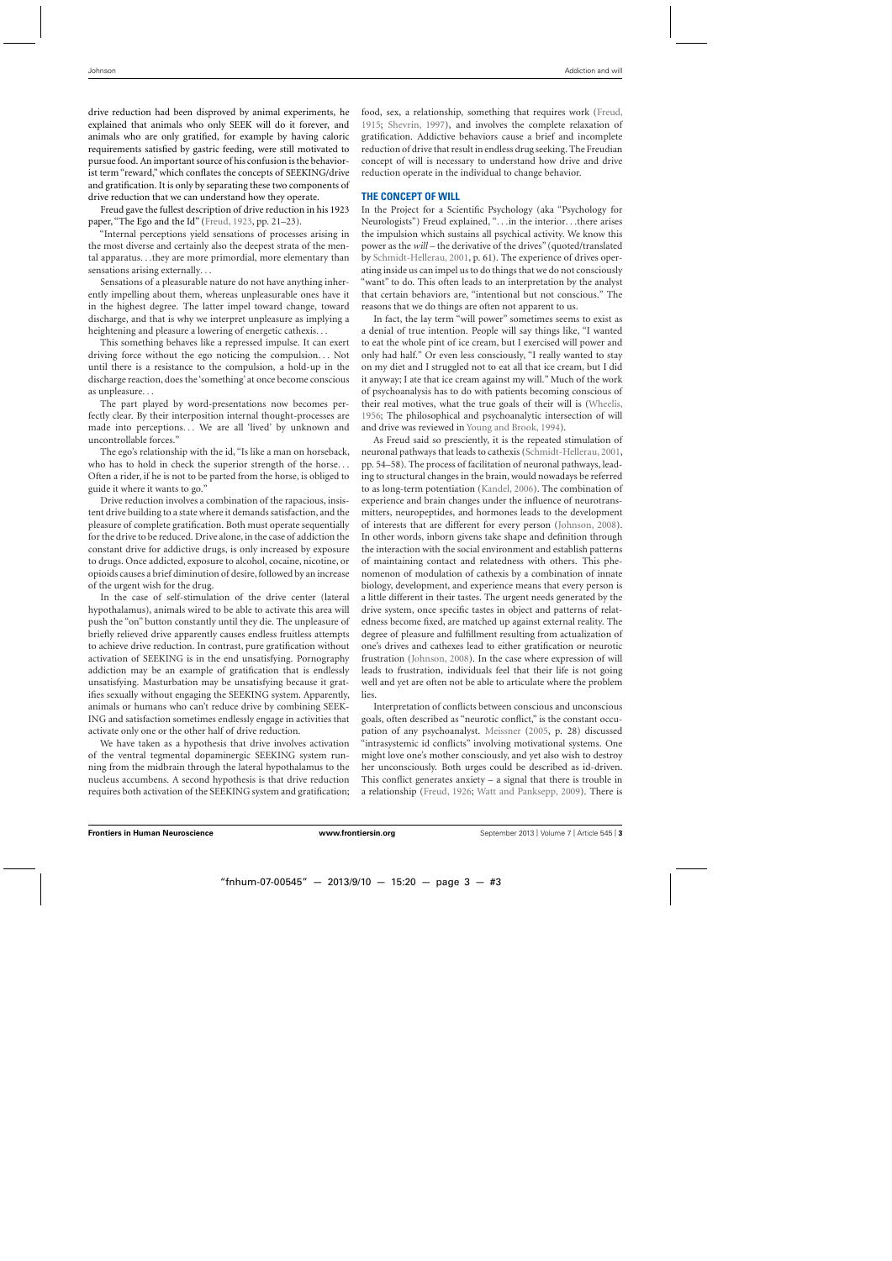drive reduction had been disproved by animal experiments, he explained that animals who only SEEK will do it forever, and animals who are only gratified, for example by having caloric requirements satisfied by gastric feeding, were still motivated to pursue food. An important source of his confusion is the behaviorist term "reward," which conflates the concepts of SEEKING/drive and gratification. It is only by separating these two components of drive reduction that we can understand how they operate.

Freud gave the fullest description of drive reduction in his 1923 paper, "The Ego and the Id" [\(Freud, 1923](#page-9-0), pp. 21–23).

"Internal perceptions yield sensations of processes arising in the most diverse and certainly also the deepest strata of the mental apparatus...they are more primordial, more elementary than sensations arising externally...

Sensations of a pleasurable nature do not have anything inherently impelling about them, whereas unpleasurable ones have it in the highest degree. The latter impel toward change, toward discharge, and that is why we interpret unpleasure as implying a heightening and pleasure a lowering of energetic cathexis...

This something behaves like a repressed impulse. It can exert driving force without the ego noticing the compulsion... Not until there is a resistance to the compulsion, a hold-up in the discharge reaction, does the 'something' at once become conscious as unpleasure...

The part played by word-presentations now becomes perfectly clear. By their interposition internal thought-processes are made into perceptions... We are all 'lived' by unknown and uncontrollable forces."

The ego's relationship with the id, "Is like a man on horseback, who has to hold in check the superior strength of the horse... Often a rider, if he is not to be parted from the horse, is obliged to guide it where it wants to go."

Drive reduction involves a combination of the rapacious, insistent drive building to a state where it demands satisfaction, and the pleasure of complete gratification. Both must operate sequentially for the drive to be reduced. Drive alone, in the case of addiction the constant drive for addictive drugs, is only increased by exposure to drugs. Once addicted, exposure to alcohol, cocaine, nicotine, or opioids causes a brief diminution of desire, followed by an increase of the urgent wish for the drug.

In the case of self-stimulation of the drive center (lateral hypothalamus), animals wired to be able to activate this area will push the "on" button constantly until they die. The unpleasure of briefly relieved drive apparently causes endless fruitless attempts to achieve drive reduction. In contrast, pure gratification without activation of SEEKING is in the end unsatisfying. Pornography addiction may be an example of gratification that is endlessly unsatisfying. Masturbation may be unsatisfying because it gratifies sexually without engaging the SEEKING system. Apparently, animals or humans who can't reduce drive by combining SEEK-ING and satisfaction sometimes endlessly engage in activities that activate only one or the other half of drive reduction.

We have taken as a hypothesis that drive involves activation of the ventral tegmental dopaminergic SEEKING system running from the midbrain through the lateral hypothalamus to the nucleus accumbens. A second hypothesis is that drive reduction requires both activation of the SEEKING system and gratification; food, sex, a relationship, something that requires work [\(Freud](#page-9-0), [1915;](#page-9-0) [Shevrin](#page-10-0), [1997](#page-10-0)), and involves the complete relaxation of gratification. Addictive behaviors cause a brief and incomplete reduction of drive that result in endless drug seeking. The Freudian concept of will is necessary to understand how drive and drive reduction operate in the individual to change behavior.

#### **THE CONCEPT OF WILL**

In the Project for a Scientific Psychology (aka "Psychology for Neurologists") Freud explained, "...in the interior...there arises the impulsion which sustains all psychical activity. We know this power as the *will* – the derivative of the drives" (quoted/translated by [Schmidt-Hellerau](#page-10-0), [2001,](#page-10-0) p. 61). The experience of drives operating inside us can impel us to do things that we do not consciously "want" to do. This often leads to an interpretation by the analyst that certain behaviors are, "intentional but not conscious." The reasons that we do things are often not apparent to us.

In fact, the lay term "will power" sometimes seems to exist as a denial of true intention. People will say things like, "I wanted to eat the whole pint of ice cream, but I exercised will power and only had half." Or even less consciously, "I really wanted to stay on my diet and I struggled not to eat all that ice cream, but I did it anyway; I ate that ice cream against my will." Much of the work of psychoanalysis has to do with patients becoming conscious of their real motives, what the true goals of their will is [\(Wheelis](#page-10-0), [1956;](#page-10-0) The philosophical and psychoanalytic intersection of will and drive was reviewed in [Young and Brook, 1994\)](#page-10-0).

As Freud said so presciently, it is the repeated stimulation of neuronal pathways that leads to cathexis [\(Schmidt-Hellerau](#page-10-0), [2001](#page-10-0), pp. 54–58). The process of facilitation of neuronal pathways, leading to structural changes in the brain, would nowadays be referred to as long-term potentiation [\(Kandel](#page-9-0), [2006\)](#page-9-0). The combination of experience and brain changes under the influence of neurotransmitters, neuropeptides, and hormones leads to the development of interests that are different for every person [\(Johnson, 2008](#page-9-0)). In other words, inborn givens take shape and definition through the interaction with the social environment and establish patterns of maintaining contact and relatedness with others. This phenomenon of modulation of cathexis by a combination of innate biology, development, and experience means that every person is a little different in their tastes. The urgent needs generated by the drive system, once specific tastes in object and patterns of relatedness become fixed, are matched up against external reality. The degree of pleasure and fulfillment resulting from actualization of one's drives and cathexes lead to either gratification or neurotic frustration [\(Johnson](#page-9-0), [2008\)](#page-9-0). In the case where expression of will leads to frustration, individuals feel that their life is not going well and yet are often not be able to articulate where the problem lies.

Interpretation of conflicts between conscious and unconscious goals, often described as "neurotic conflict," is the constant occupation of any psychoanalyst. [Meissner](#page-9-0) [\(2005,](#page-9-0) p. 28) discussed "intrasystemic id conflicts" involving motivational systems. One might love one's mother consciously, and yet also wish to destroy her unconsciously. Both urges could be described as id-driven. This conflict generates anxiety  $-$  a signal that there is trouble in a relationship [\(Freud](#page-9-0), [1926](#page-9-0); [Watt and Panksepp](#page-10-0), [2009](#page-10-0)). There is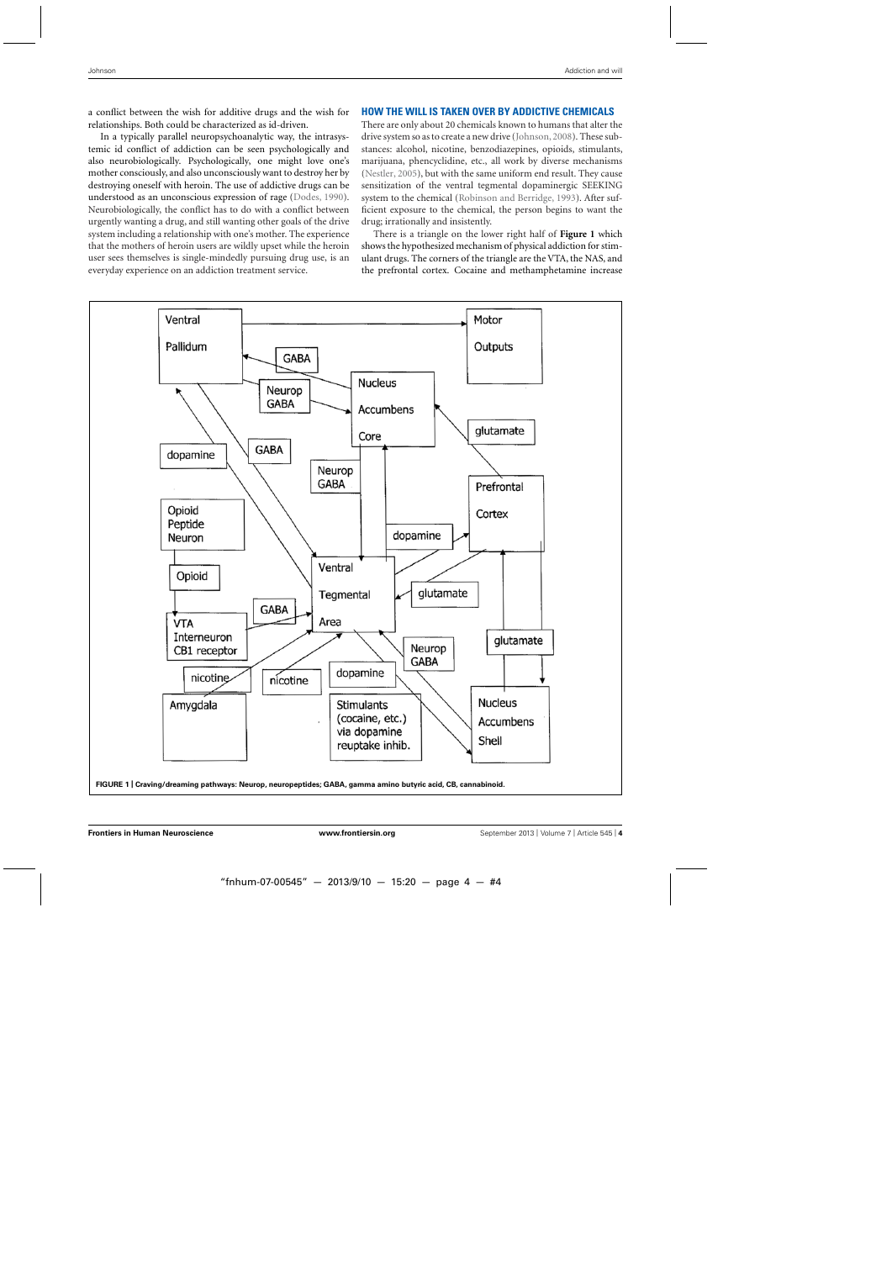<span id="page-3-0"></span>a conflict between the wish for additive drugs and the wish for relationships. Both could be characterized as id-driven.

In a typically parallel neuropsychoanalytic way, the intrasystemic id conflict of addiction can be seen psychologically and also neurobiologically. Psychologically, one might love one's mother consciously, and also unconsciously want to destroy her by destroying oneself with heroin. The use of addictive drugs can be understood as an unconscious expression of rage [\(Dodes](#page-9-0), [1990](#page-9-0)). Neurobiologically, the conflict has to do with a conflict between urgently wanting a drug, and still wanting other goals of the drive system including a relationship with one's mother. The experience that the mothers of heroin users are wildly upset while the heroin user sees themselves is single-mindedly pursuing drug use, is an everyday experience on an addiction treatment service.

# **HOW THE WILL IS TAKEN OVER BY ADDICTIVE CHEMICALS**

There are only about 20 chemicals known to humans that alter the drive system so as to create a new drive [\(Johnson, 2008](#page-9-0)). These substances: alcohol, nicotine, benzodiazepines, opioids, stimulants, marijuana, phencyclidine, etc., all work by diverse mechanisms [\(Nestler, 2005\)](#page-10-0), but with the same uniform end result. They cause sensitization of the ventral tegmental dopaminergic SEEKING system to the chemical [\(Robinson and Berridge](#page-10-0), [1993\)](#page-10-0). After sufficient exposure to the chemical, the person begins to want the drug; irrationally and insistently.

There is a triangle on the lower right half of **Figure 1** which shows the hypothesized mechanism of physical addiction for stimulant drugs. The corners of the triangle are the VTA, the NAS, and the prefrontal cortex. Cocaine and methamphetamine increase

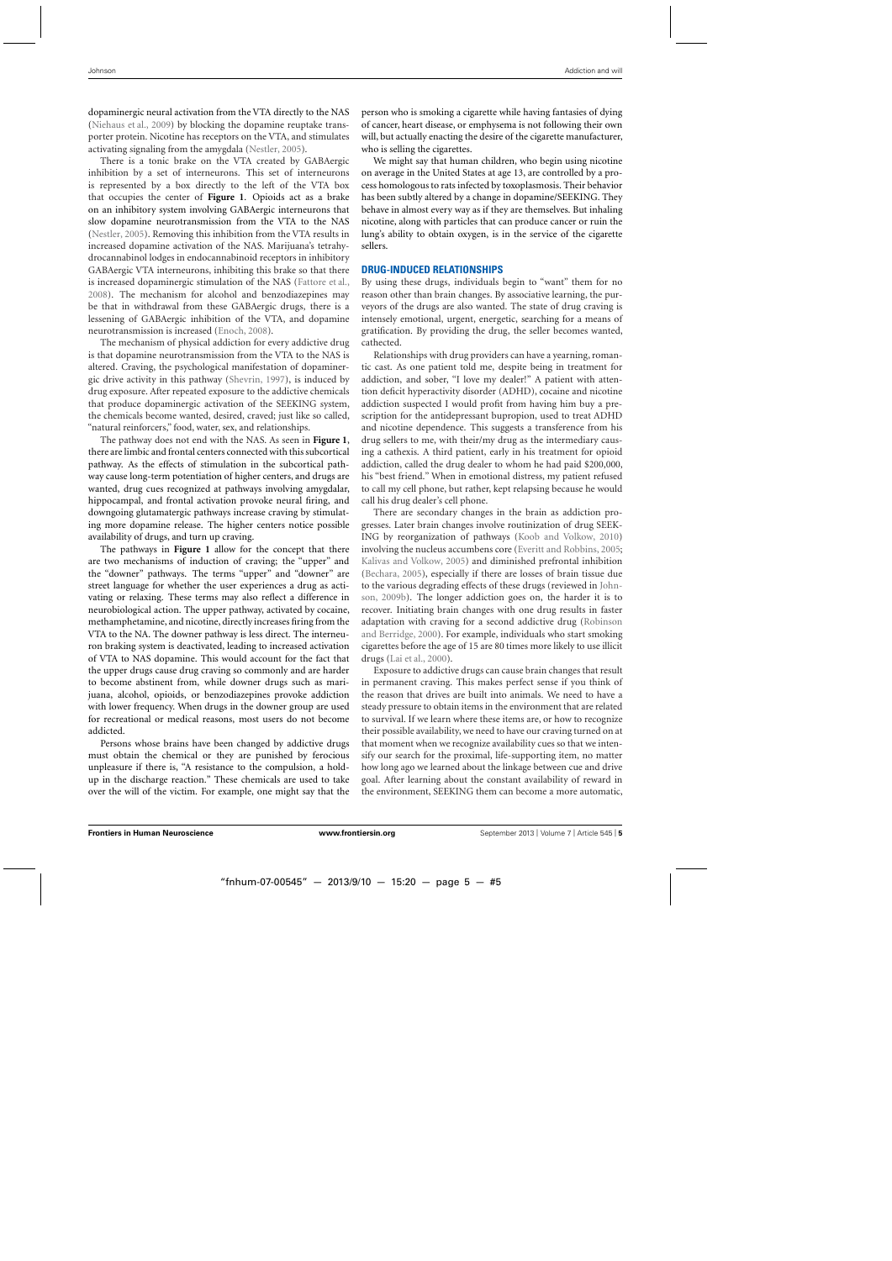dopaminergic neural activation from the VTA directly to the NAS [\(Niehaus et al.](#page-10-0), [2009](#page-10-0)) by blocking the dopamine reuptake transporter protein. Nicotine has receptors on the VTA, and stimulates activating signaling from the amygdala [\(Nestler](#page-10-0), [2005\)](#page-10-0).

There is a tonic brake on the VTA created by GABAergic inhibition by a set of interneurons. This set of interneurons is represented by a box directly to the left of the VTA box that occupies the center of **[Figure 1](#page-3-0)**. Opioids act as a brake on an inhibitory system involving GABAergic interneurons that slow dopamine neurotransmission from the VTA to the NAS [\(Nestler, 2005](#page-10-0)). Removing this inhibition from the VTA results in increased dopamine activation of the NAS. Marijuana's tetrahydrocannabinol lodges in endocannabinoid receptors in inhibitory GABAergic VTA interneurons, inhibiting this brake so that there is increased dopaminergic stimulation of the NAS [\(Fattore et al.](#page-9-0), [2008\)](#page-9-0). The mechanism for alcohol and benzodiazepines may be that in withdrawal from these GABAergic drugs, there is a lessening of GABAergic inhibition of the VTA, and dopamine neurotransmission is increased [\(Enoch](#page-9-0), [2008\)](#page-9-0).

The mechanism of physical addiction for every addictive drug is that dopamine neurotransmission from the VTA to the NAS is altered. Craving, the psychological manifestation of dopaminergic drive activity in this pathway [\(Shevrin, 1997](#page-10-0)), is induced by drug exposure. After repeated exposure to the addictive chemicals that produce dopaminergic activation of the SEEKING system, the chemicals become wanted, desired, craved; just like so called, "natural reinforcers," food, water, sex, and relationships.

The pathway does not end with the NAS. As seen in **[Figure 1](#page-3-0)**, there are limbic and frontal centers connected with this subcortical pathway. As the effects of stimulation in the subcortical pathway cause long-term potentiation of higher centers, and drugs are wanted, drug cues recognized at pathways involving amygdalar, hippocampal, and frontal activation provoke neural firing, and downgoing glutamatergic pathways increase craving by stimulating more dopamine release. The higher centers notice possible availability of drugs, and turn up craving.

The pathways in **[Figure 1](#page-3-0)** allow for the concept that there are two mechanisms of induction of craving; the "upper" and the "downer" pathways. The terms "upper" and "downer" are street language for whether the user experiences a drug as activating or relaxing. These terms may also reflect a difference in neurobiological action. The upper pathway, activated by cocaine, methamphetamine, and nicotine, directly increases firing from the VTA to the NA. The downer pathway is less direct. The interneuron braking system is deactivated, leading to increased activation of VTA to NAS dopamine. This would account for the fact that the upper drugs cause drug craving so commonly and are harder to become abstinent from, while downer drugs such as marijuana, alcohol, opioids, or benzodiazepines provoke addiction with lower frequency. When drugs in the downer group are used for recreational or medical reasons, most users do not become addicted.

Persons whose brains have been changed by addictive drugs must obtain the chemical or they are punished by ferocious unpleasure if there is, "A resistance to the compulsion, a holdup in the discharge reaction." These chemicals are used to take over the will of the victim. For example, one might say that the

person who is smoking a cigarette while having fantasies of dying of cancer, heart disease, or emphysema is not following their own will, but actually enacting the desire of the cigarette manufacturer, who is selling the cigarettes.

We might say that human children, who begin using nicotine on average in the United States at age 13, are controlled by a process homologous to rats infected by toxoplasmosis. Their behavior has been subtly altered by a change in dopamine/SEEKING. They behave in almost every way as if they are themselves. But inhaling nicotine, along with particles that can produce cancer or ruin the lung's ability to obtain oxygen, is in the service of the cigarette sellers.

# **DRUG-INDUCED RELATIONSHIPS**

By using these drugs, individuals begin to "want" them for no reason other than brain changes. By associative learning, the purveyors of the drugs are also wanted. The state of drug craving is intensely emotional, urgent, energetic, searching for a means of gratification. By providing the drug, the seller becomes wanted, cathected.

Relationships with drug providers can have a yearning, romantic cast. As one patient told me, despite being in treatment for addiction, and sober, "I love my dealer!" A patient with attention deficit hyperactivity disorder (ADHD), cocaine and nicotine addiction suspected I would profit from having him buy a prescription for the antidepressant bupropion, used to treat ADHD and nicotine dependence. This suggests a transference from his drug sellers to me, with their/my drug as the intermediary causing a cathexis. A third patient, early in his treatment for opioid addiction, called the drug dealer to whom he had paid \$200,000, his "best friend." When in emotional distress, my patient refused to call my cell phone, but rather, kept relapsing because he would call his drug dealer's cell phone.

There are secondary changes in the brain as addiction progresses. Later brain changes involve routinization of drug SEEK-ING by reorganization of pathways [\(Koob and Volkow](#page-9-0), [2010\)](#page-9-0) involving the nucleus accumbens core [\(Everitt and Robbins, 2005;](#page-9-0) [Kalivas and Volkow](#page-9-0), [2005](#page-9-0)) and diminished prefrontal inhibition [\(Bechara](#page-9-0), [2005](#page-9-0)), especially if there are losses of brain tissue due to t[he various degrading effects of these drugs \(reviewed in](#page-9-0) Johnson, [2009b\)](#page-9-0). The longer addiction goes on, the harder it is to recover. Initiating brain changes with one drug results in faster adaptation [with craving for a second addictive drug \(](#page-10-0)Robinson and Berridge, [2000](#page-10-0)). For example, individuals who start smoking cigarettes before the age of 15 are 80 times more likely to use illicit drugs [\(Lai et al., 2000\)](#page-9-0).

Exposure to addictive drugs can cause brain changes that result in permanent craving. This makes perfect sense if you think of the reason that drives are built into animals. We need to have a steady pressure to obtain items in the environment that are related to survival. If we learn where these items are, or how to recognize their possible availability, we need to have our craving turned on at that moment when we recognize availability cues so that we intensify our search for the proximal, life-supporting item, no matter how long ago we learned about the linkage between cue and drive goal. After learning about the constant availability of reward in the environment, SEEKING them can become a more automatic,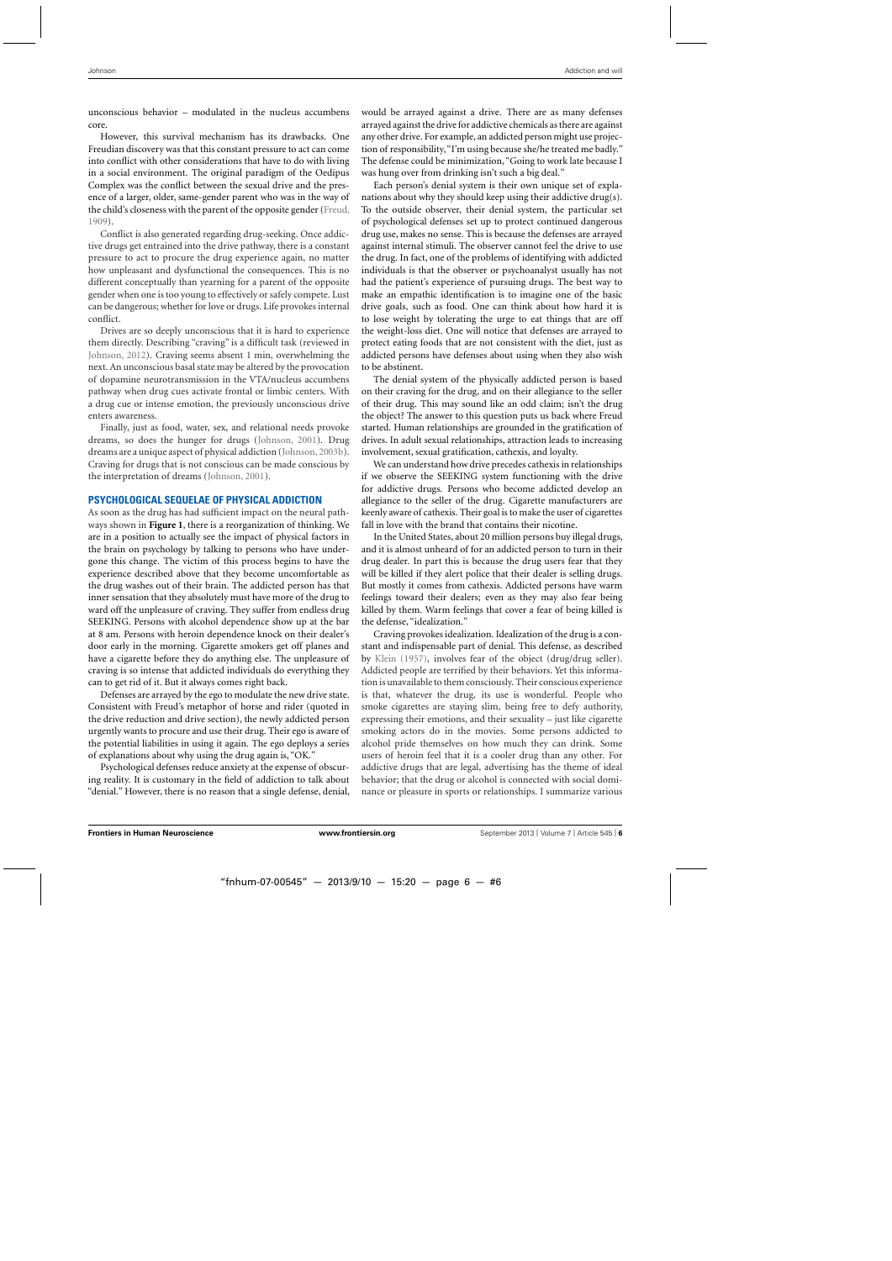unconscious behavior – modulated in the nucleus accumbens core.

However, this survival mechanism has its drawbacks. One Freudian discovery was that this constant pressure to act can come into conflict with other considerations that have to do with living in a social environment. The original paradigm of the Oedipus Complex was the conflict between the sexual drive and the presence of a larger, older, same-gender parent who was in the way of the child's closeness with the parent of the opposite gender [\(Freud](#page-9-0), [1909\)](#page-9-0).

Conflict is also generated regarding drug-seeking. Once addictive drugs get entrained into the drive pathway, there is a constant pressure to act to procure the drug experience again, no matter how unpleasant and dysfunctional the consequences. This is no different conceptually than yearning for a parent of the opposite gender when one is too young to effectively or safely compete. Lust can be dangerous; whether for love or drugs. Life provokes internal conflict.

Drives are so deeply unconscious that it is hard to experience them directly. Describing "craving" is a difficult task (reviewed in [Johnson, 2012\)](#page-9-0). Craving seems absent 1 min, overwhelming the next. An unconscious basal state may be altered by the provocation of dopamine neurotransmission in the VTA/nucleus accumbens pathway when drug cues activate frontal or limbic centers. With a drug cue or intense emotion, the previously unconscious drive enters awareness.

Finally, just as food, water, sex, and relational needs provoke dreams, so does the hunger for drugs [\(Johnson, 2001](#page-9-0)). Drug dreams are a unique aspect of physical addiction [\(Johnson, 2003b](#page-9-0)). Craving for drugs that is not conscious can be made conscious by the interpretation of dreams [\(Johnson, 2001\)](#page-9-0).

#### **PSYCHOLOGICAL SEQUELAE OF PHYSICAL ADDICTION**

As soon as the drug has had sufficient impact on the neural pathways shown in **[Figure 1](#page-3-0)**, there is a reorganization of thinking. We are in a position to actually see the impact of physical factors in the brain on psychology by talking to persons who have undergone this change. The victim of this process begins to have the experience described above that they become uncomfortable as the drug washes out of their brain. The addicted person has that inner sensation that they absolutely must have more of the drug to ward off the unpleasure of craving. They suffer from endless drug SEEKING. Persons with alcohol dependence show up at the bar at 8 am. Persons with heroin dependence knock on their dealer's door early in the morning. Cigarette smokers get off planes and have a cigarette before they do anything else. The unpleasure of craving is so intense that addicted individuals do everything they can to get rid of it. But it always comes right back.

Defenses are arrayed by the ego to modulate the new drive state. Consistent with Freud's metaphor of horse and rider (quoted in the drive reduction and drive section), the newly addicted person urgently wants to procure and use their drug. Their ego is aware of the potential liabilities in using it again. The ego deploys a series of explanations about why using the drug again is, "OK."

Psychological defenses reduce anxiety at the expense of obscuring reality. It is customary in the field of addiction to talk about "denial." However, there is no reason that a single defense, denial, would be arrayed against a drive. There are as many defenses arrayed against the drive for addictive chemicals as there are against any other drive. For example, an addicted person might use projection of responsibility, "I'm using because she/he treated me badly." The defense could be minimization, "Going to work late because I was hung over from drinking isn't such a big deal."

Each person's denial system is their own unique set of explanations about why they should keep using their addictive drug(s). To the outside observer, their denial system, the particular set of psychological defenses set up to protect continued dangerous drug use, makes no sense. This is because the defenses are arrayed against internal stimuli. The observer cannot feel the drive to use the drug. In fact, one of the problems of identifying with addicted individuals is that the observer or psychoanalyst usually has not had the patient's experience of pursuing drugs. The best way to make an empathic identification is to imagine one of the basic drive goals, such as food. One can think about how hard it is to lose weight by tolerating the urge to eat things that are off the weight-loss diet. One will notice that defenses are arrayed to protect eating foods that are not consistent with the diet, just as addicted persons have defenses about using when they also wish to be abstinent.

The denial system of the physically addicted person is based on their craving for the drug, and on their allegiance to the seller of their drug. This may sound like an odd claim; isn't the drug the object? The answer to this question puts us back where Freud started. Human relationships are grounded in the gratification of drives. In adult sexual relationships, attraction leads to increasing involvement, sexual gratification, cathexis, and loyalty.

We can understand how drive precedes cathexis in relationships if we observe the SEEKING system functioning with the drive for addictive drugs. Persons who become addicted develop an allegiance to the seller of the drug. Cigarette manufacturers are keenly aware of cathexis. Their goal is to make the user of cigarettes fall in love with the brand that contains their nicotine.

In the United States, about 20 million persons buy illegal drugs, and it is almost unheard of for an addicted person to turn in their drug dealer. In part this is because the drug users fear that they will be killed if they alert police that their dealer is selling drugs. But mostly it comes from cathexis. Addicted persons have warm feelings toward their dealers; even as they may also fear being killed by them. Warm feelings that cover a fear of being killed is the defense, "idealization."

Craving provokes idealization. Idealization of the drug is a constant and indispensable part of denial. This defense, as described by [Klein](#page-9-0) [\(1957\)](#page-9-0), involves fear of the object (drug/drug seller). Addicted people are terrified by their behaviors. Yet this information is unavailable to them consciously. Their conscious experience is that, whatever the drug, its use is wonderful. People who smoke cigarettes are staying slim, being free to defy authority, expressing their emotions, and their sexuality – just like cigarette smoking actors do in the movies. Some persons addicted to alcohol pride themselves on how much they can drink. Some users of heroin feel that it is a cooler drug than any other. For addictive drugs that are legal, advertising has the theme of ideal behavior; that the drug or alcohol is connected with social dominance or pleasure in sports or relationships. I summarize various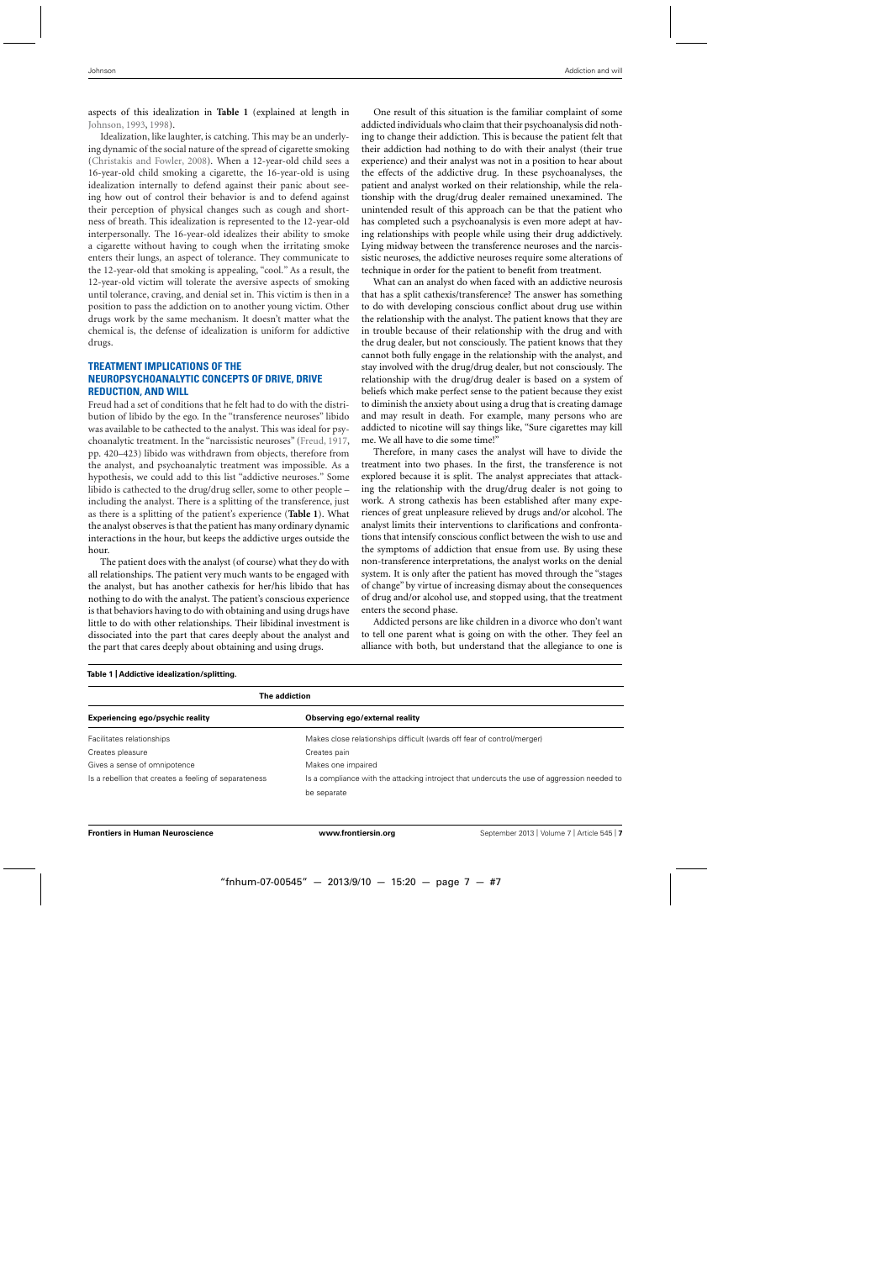aspects of this idealization in **Table 1** (explained at length in [Johnson, 1993](#page-9-0), [1998\)](#page-9-0).

Idealization, like laughter, is catching. This may be an underlying dynamic of the social nature of the spread of cigarette smoking [\(Christakis and Fowler, 2008](#page-9-0)). When a 12-year-old child sees a 16-year-old child smoking a cigarette, the 16-year-old is using idealization internally to defend against their panic about seeing how out of control their behavior is and to defend against their perception of physical changes such as cough and shortness of breath. This idealization is represented to the 12-year-old interpersonally. The 16-year-old idealizes their ability to smoke a cigarette without having to cough when the irritating smoke enters their lungs, an aspect of tolerance. They communicate to the 12-year-old that smoking is appealing, "cool." As a result, the 12-year-old victim will tolerate the aversive aspects of smoking until tolerance, craving, and denial set in. This victim is then in a position to pass the addiction on to another young victim. Other drugs work by the same mechanism. It doesn't matter what the chemical is, the defense of idealization is uniform for addictive drugs.

# **TREATMENT IMPLICATIONS OF THE NEUROPSYCHOANALYTIC CONCEPTS OF DRIVE, DRIVE REDUCTION, AND WILL**

Freud had a set of conditions that he felt had to do with the distribution of libido by the ego. In the "transference neuroses" libido was available to be cathected to the analyst. This was ideal for psychoanalytic treatment. In the "narcissistic neuroses" [\(Freud, 1917](#page-9-0), pp. 420–423) libido was withdrawn from objects, therefore from the analyst, and psychoanalytic treatment was impossible. As a hypothesis, we could add to this list "addictive neuroses." Some libido is cathected to the drug/drug seller, some to other people – including the analyst. There is a splitting of the transference, just as there is a splitting of the patient's experience (**Table 1**). What the analyst observes is that the patient has many ordinary dynamic interactions in the hour, but keeps the addictive urges outside the hour.

The patient does with the analyst (of course) what they do with all relationships. The patient very much wants to be engaged with the analyst, but has another cathexis for her/his libido that has nothing to do with the analyst. The patient's conscious experience is that behaviors having to do with obtaining and using drugs have little to do with other relationships. Their libidinal investment is dissociated into the part that cares deeply about the analyst and the part that cares deeply about obtaining and using drugs.

One result of this situation is the familiar complaint of some addicted individuals who claim that their psychoanalysis did nothing to change their addiction. This is because the patient felt that their addiction had nothing to do with their analyst (their true experience) and their analyst was not in a position to hear about the effects of the addictive drug. In these psychoanalyses, the patient and analyst worked on their relationship, while the relationship with the drug/drug dealer remained unexamined. The unintended result of this approach can be that the patient who has completed such a psychoanalysis is even more adept at having relationships with people while using their drug addictively. Lying midway between the transference neuroses and the narcissistic neuroses, the addictive neuroses require some alterations of technique in order for the patient to benefit from treatment.

What can an analyst do when faced with an addictive neurosis that has a split cathexis/transference? The answer has something to do with developing conscious conflict about drug use within the relationship with the analyst. The patient knows that they are in trouble because of their relationship with the drug and with the drug dealer, but not consciously. The patient knows that they cannot both fully engage in the relationship with the analyst, and stay involved with the drug/drug dealer, but not consciously. The relationship with the drug/drug dealer is based on a system of beliefs which make perfect sense to the patient because they exist to diminish the anxiety about using a drug that is creating damage and may result in death. For example, many persons who are addicted to nicotine will say things like, "Sure cigarettes may kill me. We all have to die some time!"

Therefore, in many cases the analyst will have to divide the treatment into two phases. In the first, the transference is not explored because it is split. The analyst appreciates that attacking the relationship with the drug/drug dealer is not going to work. A strong cathexis has been established after many experiences of great unpleasure relieved by drugs and/or alcohol. The analyst limits their interventions to clarifications and confrontations that intensify conscious conflict between the wish to use and the symptoms of addiction that ensue from use. By using these non-transference interpretations, the analyst works on the denial system. It is only after the patient has moved through the "stages of change" by virtue of increasing dismay about the consequences of drug and/or alcohol use, and stopped using, that the treatment enters the second phase.

Addicted persons are like children in a divorce who don't want to tell one parent what is going on with the other. They feel an alliance with both, but understand that the allegiance to one is

| The addiction                                         |                                                                                             |
|-------------------------------------------------------|---------------------------------------------------------------------------------------------|
| Experiencing ego/psychic reality                      | Observing ego/external reality                                                              |
| Facilitates relationships                             | Makes close relationships difficult (wards off fear of control/merger)                      |
| Creates pleasure                                      | Creates pain                                                                                |
| Gives a sense of omnipotence                          | Makes one impaired                                                                          |
| Is a rebellion that creates a feeling of separateness | Is a compliance with the attacking introject that undercuts the use of aggression needed to |
|                                                       | be separate                                                                                 |

#### **Table 1 | Addictive idealization/splitting.**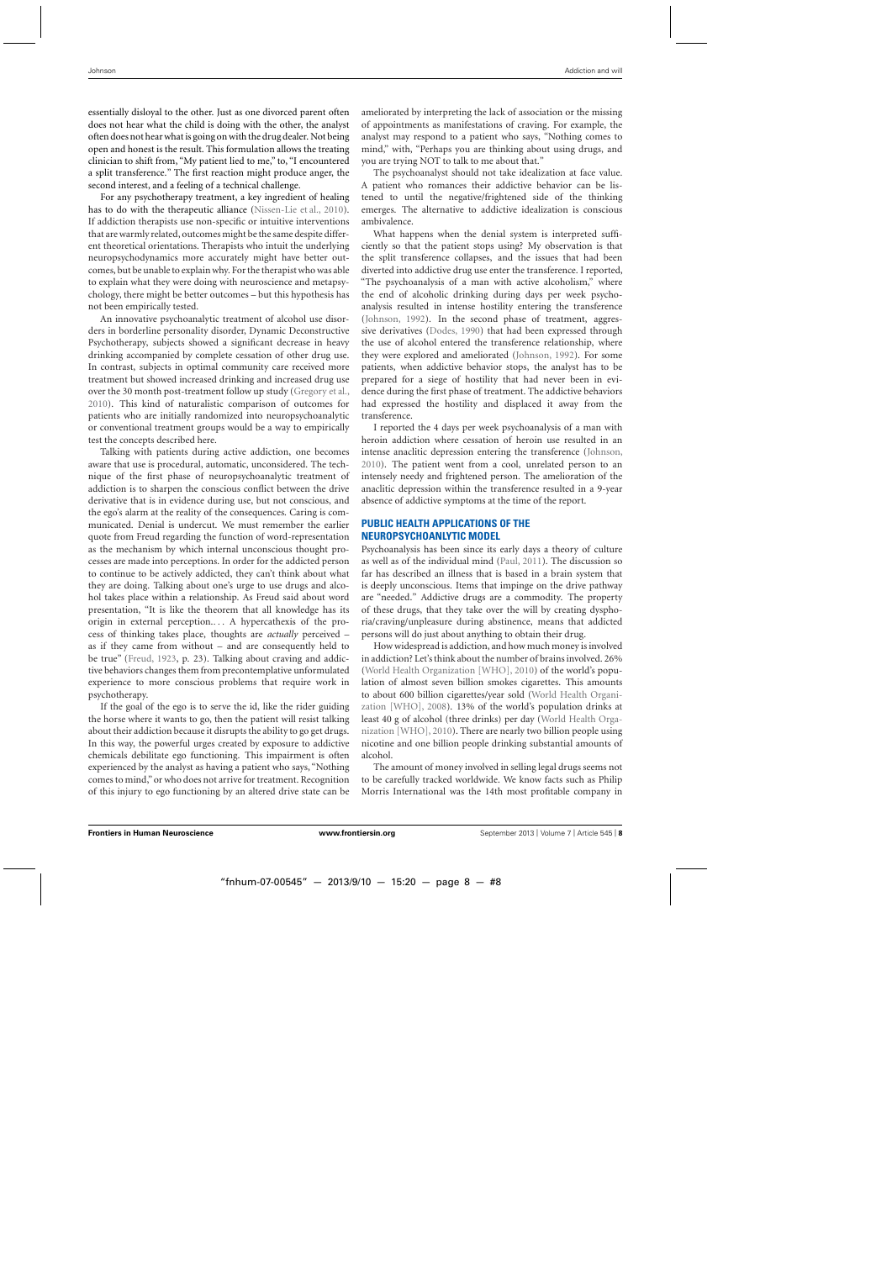essentially disloyal to the other. Just as one divorced parent often does not hear what the child is doing with the other, the analyst often does not hear what is going on with the drug dealer. Not being open and honest is the result. This formulation allows the treating clinician to shift from, "My patient lied to me," to, "I encountered a split transference." The first reaction might produce anger, the second interest, and a feeling of a technical challenge.

For any psychotherapy treatment, a key ingredient of healing has to do with the therapeutic alliance [\(Nissen-Lie et al., 2010](#page-10-0)). If addiction therapists use non-specific or intuitive interventions that are warmly related, outcomes might be the same despite different theoretical orientations. Therapists who intuit the underlying neuropsychodynamics more accurately might have better outcomes, but be unable to explain why. For the therapist who was able to explain what they were doing with neuroscience and metapsychology, there might be better outcomes – but this hypothesis has not been empirically tested.

An innovative psychoanalytic treatment of alcohol use disorders in borderline personality disorder, Dynamic Deconstructive Psychotherapy, subjects showed a significant decrease in heavy drinking accompanied by complete cessation of other drug use. In contrast, subjects in optimal community care received more treatment but showed increased drinking and increased drug use over the 30 month post-treatment follow up study [\(Gregory et al.](#page-9-0), [2010\)](#page-9-0). This kind of naturalistic comparison of outcomes for patients who are initially randomized into neuropsychoanalytic or conventional treatment groups would be a way to empirically test the concepts described here.

Talking with patients during active addiction, one becomes aware that use is procedural, automatic, unconsidered. The technique of the first phase of neuropsychoanalytic treatment of addiction is to sharpen the conscious conflict between the drive derivative that is in evidence during use, but not conscious, and the ego's alarm at the reality of the consequences. Caring is communicated. Denial is undercut. We must remember the earlier quote from Freud regarding the function of word-representation as the mechanism by which internal unconscious thought processes are made into perceptions. In order for the addicted person to continue to be actively addicted, they can't think about what they are doing. Talking about one's urge to use drugs and alcohol takes place within a relationship. As Freud said about word presentation, "It is like the theorem that all knowledge has its origin in external perception.... A hypercathexis of the process of thinking takes place, thoughts are *actually* perceived – as if they came from without – and are consequently held to be true" [\(Freud](#page-9-0), [1923,](#page-9-0) p. 23). Talking about craving and addictive behaviors changes them from precontemplative unformulated experience to more conscious problems that require work in psychotherapy.

If the goal of the ego is to serve the id, like the rider guiding the horse where it wants to go, then the patient will resist talking about their addiction because it disrupts the ability to go get drugs. In this way, the powerful urges created by exposure to addictive chemicals debilitate ego functioning. This impairment is often experienced by the analyst as having a patient who says, "Nothing comes to mind," or who does not arrive for treatment. Recognition of this injury to ego functioning by an altered drive state can be ameliorated by interpreting the lack of association or the missing of appointments as manifestations of craving. For example, the analyst may respond to a patient who says, "Nothing comes to mind," with, "Perhaps you are thinking about using drugs, and you are trying NOT to talk to me about that."

The psychoanalyst should not take idealization at face value. A patient who romances their addictive behavior can be listened to until the negative/frightened side of the thinking emerges. The alternative to addictive idealization is conscious ambivalence.

What happens when the denial system is interpreted sufficiently so that the patient stops using? My observation is that the split transference collapses, and the issues that had been diverted into addictive drug use enter the transference. I reported, "The psychoanalysis of a man with active alcoholism," where the end of alcoholic drinking during days per week psychoanalysis resulted in intense hostility entering the transference [\(Johnson](#page-9-0), [1992\)](#page-9-0). In the second phase of treatment, aggressive derivatives [\(Dodes, 1990](#page-9-0)) that had been expressed through the use of alcohol entered the transference relationship, where they were explored and ameliorated [\(Johnson, 1992](#page-9-0)). For some patients, when addictive behavior stops, the analyst has to be prepared for a siege of hostility that had never been in evidence during the first phase of treatment. The addictive behaviors had expressed the hostility and displaced it away from the transference.

I reported the 4 days per week psychoanalysis of a man with heroin addiction where cessation of heroin use resulted in an intense anaclitic depression entering the transference [\(Johnson](#page-9-0), [2010\)](#page-9-0). The patient went from a cool, unrelated person to an intensely needy and frightened person. The amelioration of the anaclitic depression within the transference resulted in a 9-year absence of addictive symptoms at the time of the report.

# **PUBLIC HEALTH APPLICATIONS OF THE NEUROPSYCHOANLYTIC MODEL**

Psychoanalysis has been since its early days a theory of culture as well as of the individual mind [\(Paul](#page-10-0), [2011\)](#page-10-0). The discussion so far has described an illness that is based in a brain system that is deeply unconscious. Items that impinge on the drive pathway are "needed." Addictive drugs are a commodity. The property of these drugs, that they take over the will by creating dysphoria/craving/unpleasure during abstinence, means that addicted persons will do just about anything to obtain their drug.

How widespread is addiction, and how much money is involved in addiction? Let's think about the number of brains involved. 26% [\(World Health Organization \[WHO\], 2010](#page-10-0)) of the world's population of almost seven billion smokes cigarettes. This amounts to about 600 [billion](#page-10-0) [cigarettes/year](#page-10-0) [sold](#page-10-0) [\(](#page-10-0)World Health Organization [WHO], [2008\)](#page-10-0). 13% of the world's population drinks at least 40 g of alcohol (three drinks) per day (World Health Organization [WHO], [2010\)](#page-10-0). There are nearly two billion people using nicotine and one billion people drinking substantial amounts of alcohol.

The amount of money involved in selling legal drugs seems not to be carefully tracked worldwide. We know facts such as Philip Morris International was the 14th most profitable company in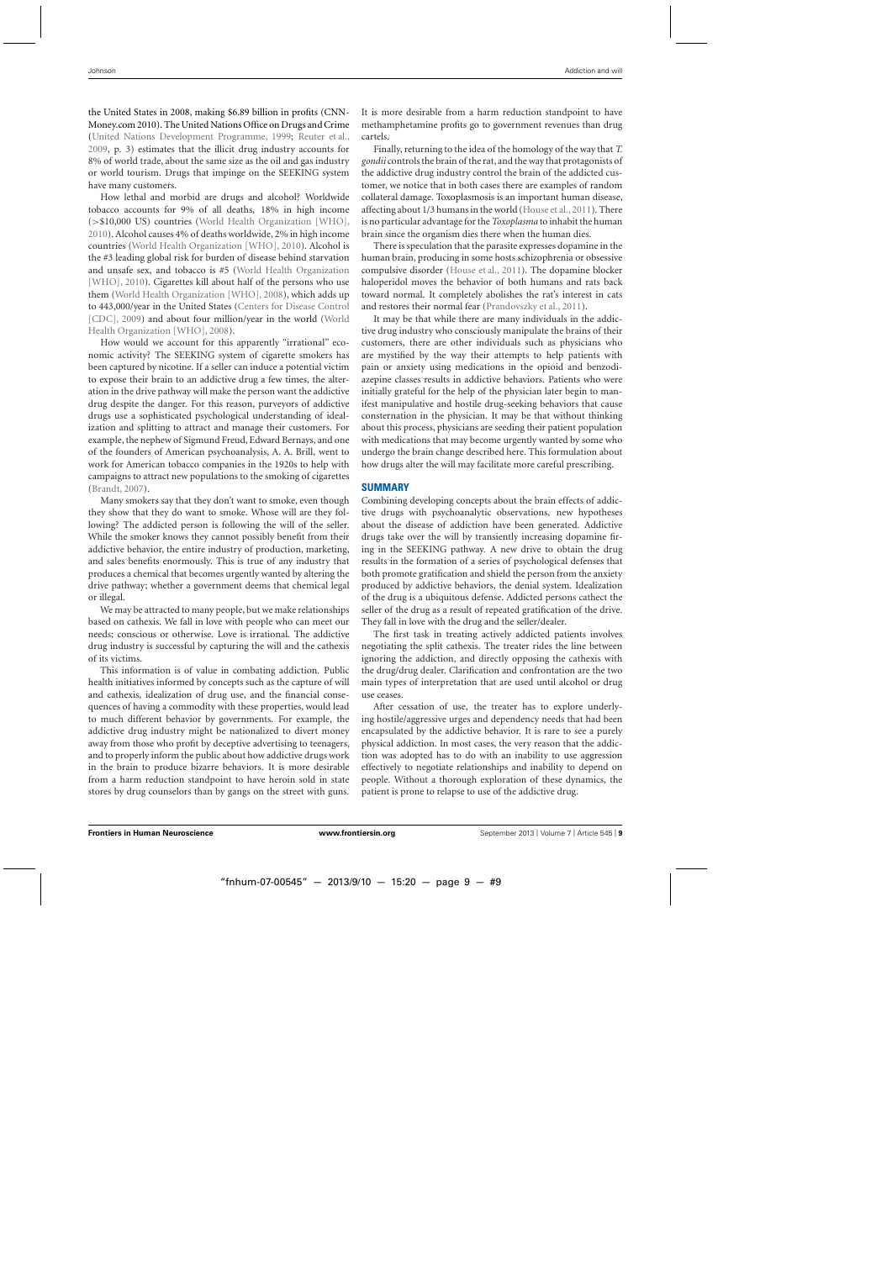the United States in 2008, making \$6.89 billion in profits (CNN-Money.com 2010). The United Nations Office on Drugs and Crime [\(United Nations Development Programme, 1999;](#page-10-0) [Reuter et al.](#page-10-0), [2009,](#page-10-0) p. 3) estimates that the illicit drug industry accounts for 8% of world trade, about the same size as the oil and gas industry or world tourism. Drugs that impinge on the SEEKING system have many customers.

How lethal and morbid are drugs and alcohol? Worldwide tobacco accounts for 9% of all deaths, 18% in high income (>\$10,000 US) countries [\(World Health Organization \[WHO\]](#page-10-0), [2010\)](#page-10-0). Alcohol causes 4% of deaths worldwide, 2% in high income countries [\(World Health Organization \[WHO\], 2010](#page-10-0)). Alcohol is the #3 leading global risk for burden of disease behind starvation and un[safe](#page-10-0) [sex,](#page-10-0) [and](#page-10-0) [tobacco](#page-10-0) [is](#page-10-0) [#5](#page-10-0) [\(](#page-10-0)World Health Organization [WHO], [2010](#page-10-0)). Cigarettes kill about half of the persons who use them [\(World Health Organization \[WHO\]](#page-10-0), [2008](#page-10-0)), which adds up to 443,[000/year in the United States \(](#page-9-0)Centers for Disease Control [CDC], [2009](#page-9-0)) and about fo[ur million/year in the world \(](#page-10-0)World Health Organization [WHO], [2008](#page-10-0)).

How would we account for this apparently "irrational" economic activity? The SEEKING system of cigarette smokers has been captured by nicotine. If a seller can induce a potential victim to expose their brain to an addictive drug a few times, the alteration in the drive pathway will make the person want the addictive drug despite the danger. For this reason, purveyors of addictive drugs use a sophisticated psychological understanding of idealization and splitting to attract and manage their customers. For example, the nephew of Sigmund Freud, Edward Bernays, and one of the founders of American psychoanalysis, A. A. Brill, went to work for American tobacco companies in the 1920s to help with campaigns to attract new populations to the smoking of cigarettes [\(Brandt](#page-9-0), [2007\)](#page-9-0).

Many smokers say that they don't want to smoke, even though they show that they do want to smoke. Whose will are they following? The addicted person is following the will of the seller. While the smoker knows they cannot possibly benefit from their addictive behavior, the entire industry of production, marketing, and sales benefits enormously. This is true of any industry that produces a chemical that becomes urgently wanted by altering the drive pathway; whether a government deems that chemical legal or illegal.

We may be attracted to many people, but we make relationships based on cathexis. We fall in love with people who can meet our needs; conscious or otherwise. Love is irrational. The addictive drug industry is successful by capturing the will and the cathexis of its victims.

This information is of value in combating addiction. Public health initiatives informed by concepts such as the capture of will and cathexis, idealization of drug use, and the financial consequences of having a commodity with these properties, would lead to much different behavior by governments. For example, the addictive drug industry might be nationalized to divert money away from those who profit by deceptive advertising to teenagers, and to properly inform the public about how addictive drugs work in the brain to produce bizarre behaviors. It is more desirable from a harm reduction standpoint to have heroin sold in state stores by drug counselors than by gangs on the street with guns.

It is more desirable from a harm reduction standpoint to have methamphetamine profits go to government revenues than drug cartels.

Finally, returning to the idea of the homology of the way that *T. gondii* controls the brain of the rat, and the way that protagonists of the addictive drug industry control the brain of the addicted customer, we notice that in both cases there are examples of random collateral damage. Toxoplasmosis is an important human disease, affecting about 1/3 humans in the world [\(House et al., 2011](#page-9-0)). There is no particular advantage for the*Toxoplasma* to inhabit the human brain since the organism dies there when the human dies.

There is speculation that the parasite expresses dopamine in the human brain, producing in some hosts schizophrenia or obsessive compulsive disorder [\(House et al.](#page-9-0), [2011](#page-9-0)). The dopamine blocker haloperidol moves the behavior of both humans and rats back toward normal. It completely abolishes the rat's interest in cats and restores their normal fear [\(Prandovszky et al., 2011](#page-10-0)).

It may be that while there are many individuals in the addictive drug industry who consciously manipulate the brains of their customers, there are other individuals such as physicians who are mystified by the way their attempts to help patients with pain or anxiety using medications in the opioid and benzodiazepine classes results in addictive behaviors. Patients who were initially grateful for the help of the physician later begin to manifest manipulative and hostile drug-seeking behaviors that cause consternation in the physician. It may be that without thinking about this process, physicians are seeding their patient population with medications that may become urgently wanted by some who undergo the brain change described here. This formulation about how drugs alter the will may facilitate more careful prescribing.

# **SUMMARY**

Combining developing concepts about the brain effects of addictive drugs with psychoanalytic observations, new hypotheses about the disease of addiction have been generated. Addictive drugs take over the will by transiently increasing dopamine firing in the SEEKING pathway. A new drive to obtain the drug results in the formation of a series of psychological defenses that both promote gratification and shield the person from the anxiety produced by addictive behaviors, the denial system. Idealization of the drug is a ubiquitous defense. Addicted persons cathect the seller of the drug as a result of repeated gratification of the drive. They fall in love with the drug and the seller/dealer.

The first task in treating actively addicted patients involves negotiating the split cathexis. The treater rides the line between ignoring the addiction, and directly opposing the cathexis with the drug/drug dealer. Clarification and confrontation are the two main types of interpretation that are used until alcohol or drug use ceases.

After cessation of use, the treater has to explore underlying hostile/aggressive urges and dependency needs that had been encapsulated by the addictive behavior. It is rare to see a purely physical addiction. In most cases, the very reason that the addiction was adopted has to do with an inability to use aggression effectively to negotiate relationships and inability to depend on people. Without a thorough exploration of these dynamics, the patient is prone to relapse to use of the addictive drug.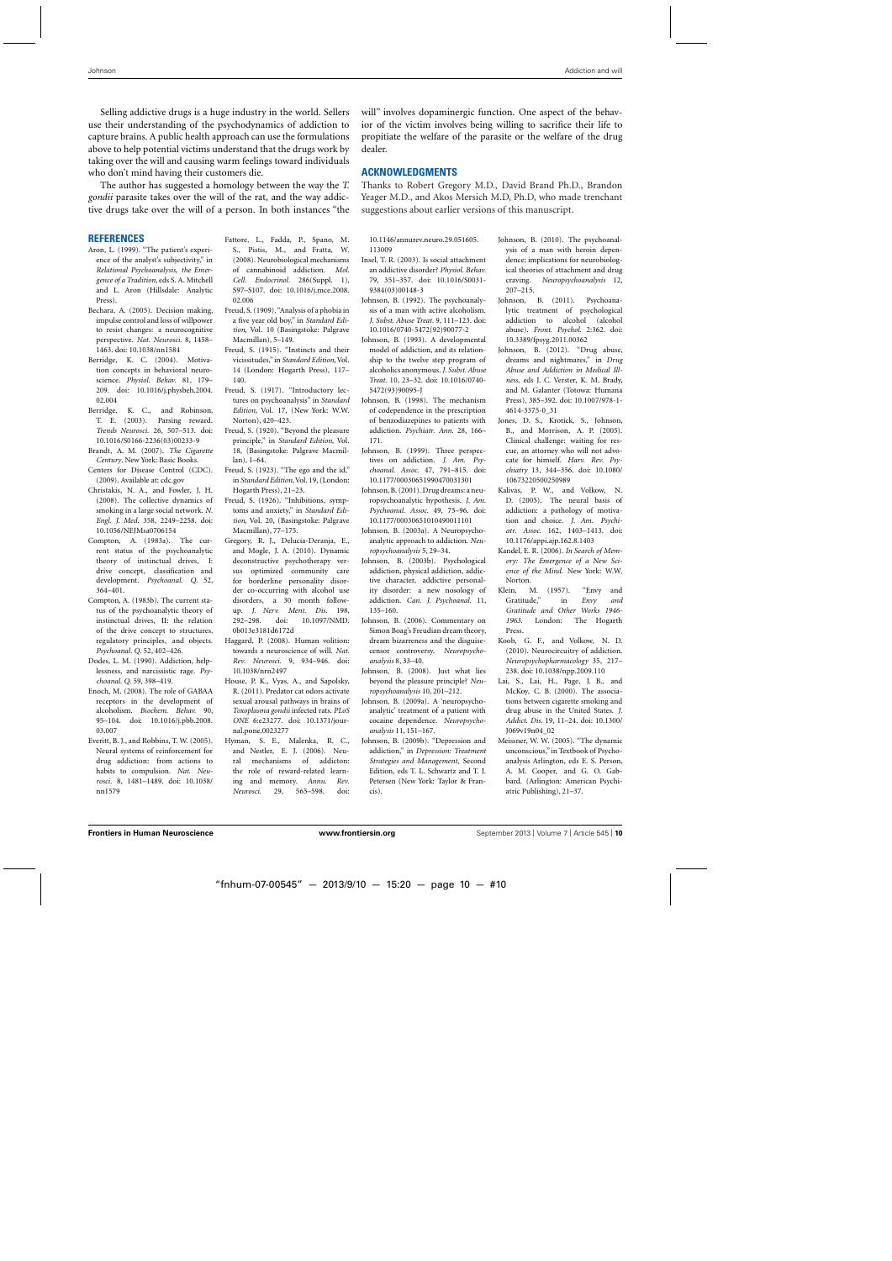<span id="page-9-0"></span>Selling addictive drugs is a huge industry in the world. Sellers use their understanding of the psychodynamics of addiction to capture brains. A public health approach can use the formulations above to help potential victims understand that the drugs work by taking over the will and causing warm feelings toward individuals who don't mind having their customers die.

The author has suggested a homology between the way the *T. gondii* parasite takes over the will of the rat, and the way addictive drugs take over the will of a person. In both instances "the

#### **REFERENCES**

- Aron, L. (1999). "The patient's experience of the analyst's subjectivity," in *Relational Psychoanalysis, the Emergence of a Tradition*, eds S. A. Mitchell and L. Aron (Hillsdale: Analytic Press).
- Bechara, A. (2005). Decision making, impulse control and loss of willpower to resist changes: a neurocognitive perspective. *Nat. Neurosci.* 8, 1458– 1463. doi: 10.1038/nn1584
- Berridge, K. C. (2004). Motivation concepts in behavioral neuroscience. *Physiol. Behav.* 81, 179– 209. doi: 10.1016/j.physbeh.2004. 02.004
- Berridge, K. C., and Robinson, T. E. (2003). Parsing reward. *Trends Neurosci.* 26, 507–513. doi: 10.1016/S0166-2236(03)00233-9
- Brandt, A. M. (2007). *The Cigarette Century*. New York: Basic Books.
- Centers for Disease Control (CDC). (2009). Available at: cdc.gov
- Christakis, N. A., and Fowler, J. H. (2008). The collective dynamics of smoking in a large social network. *N. Engl. J. Med.* 358, 2249–2258. doi: 10.1056/NEJMsa0706154
- Compton, A. (1983a). The current status of the psychoanalytic theory of instinctual drives, I: drive concept, classification and development. *Psychoanal. Q.* 52, 364–401.
- Compton, A. (1983b). The current status of the psychoanalytic theory of instinctual drives, II: the relation of the drive concept to structures, regulatory principles, and objects. *Psychoanal. Q.* 52, 402–426.
- Dodes, L. M. (1990). Addiction, helplessness, and narcissistic rage. *Psychoanal. Q.* 59, 398–419.
- Enoch, M. (2008). The role of GABAA receptors in the development of alcoholism. *Biochem. Behav.* 90, 95–104. doi: 10.1016/j.pbb.2008. 03.007
- Everitt, B. J., and Robbins, T. W. (2005). Neural systems of reinforcement for drug addiction: from actions to habits to compulsion. *Nat. Neurosci.* 8, 1481–1489. doi: 10.1038/ nn1579
- Fattore, L., Fadda, P., Spano, M. S., Pistis, M., and Fratta, W. (2008). Neurobiological mechanisms of cannabinoid addiction. *Mol. Cell. Endocrinol.* 286(Suppl. 1), S97–S107. doi: 10.1016/j.mce.2008. 02.006
- Freud, S. (1909). "Analysis of a phobia in a five year old boy," in *Standard Edition*, Vol. 10 (Basingstoke: Palgrave Macmillan), 5–149.
- Freud, S. (1915). "Instincts and their vicissitudes," in *Standard Edition*, Vol. 14 (London: Hogarth Press), 117– 140.
- Freud, S. (1917). "Introductory lectures on psychoanalysis" in *Standard Edition*, Vol. 17, (New York: W.W. Norton), 420–423.
- Freud, S. (1920). "Beyond the pleasure principle," in *Standard Edition*, Vol. 18, (Basingstoke: Palgrave Macmillan), 1–64.
- Freud, S. (1923). "The ego and the id," in *Standard Edition*, Vol. 19, (London: Hogarth Press), 21–23.
- Freud, S. (1926). "Inhibitions, symptoms and anxiety," in *Standard Edition*, Vol. 20, (Basingstoke: Palgrave Macmillan), 77–175.
- Gregory, R. J., Delucia-Deranja, E., and Mogle, J. A. (2010). Dynamic deconstructive psychotherapy versus optimized community care for borderline personality disorder co-occurring with alcohol use disorders, a 30 month followup. *J. Nerv. Ment. Dis.* 198, 292–298. doi: 10.1097/NMD. 0b013e3181d6172d
- Haggard, P. (2008). Human volition: towards a neuroscience of will. *Nat. Rev. Neurosci.* 9, 934–946. doi: 10.1038/nrn2497
- House, P. K., Vyas, A., and Sapolsky, R. (2011). Predator cat odors activate sexual arousal pathways in brains of *Toxoplasma gondii* infected rats. *PLoS ONE* 6:e23277. doi: 10.1371/journal.pone.0023277
- Hyman, S. E., Malenka, R. C., and Nestler, E. J. (2006). Neural mechanisms of addicton: the role of reward-related learning and memory. *Annu. Rev. Neurosci.* 29, 565–598. doi:

will" involves dopaminergic function. One aspect of the behavior of the victim involves being willing to sacrifice their life to propitiate the welfare of the parasite or the welfare of the drug dealer.

#### **ACKNOWLEDGMENTS**

Thanks to Robert Gregory M.D., David Brand Ph.D., Brandon Yeager M.D., and Akos Mersich M.D, Ph.D, who made trenchant suggestions about earlier versions of this manuscript.

10.1146/annurev.neuro.29.051605. 113009

- Insel, T. R. (2003). Is social attachment an addictive disorder? *Physiol. Behav.* 79, 351–357. doi: 10.1016/S0031- 9384(03)00148-3
- Johnson, B. (1992). The psychoanalysis of a man with active alcoholism. *J. Subst. Abuse Treat.* 9, 111–123. doi: 10.1016/0740-5472(92)90077-2
- Johnson, B. (1993). A developmental model of addiction, and its relationship to the twelve step program of alcoholics anonymous. *J. Subst. Abuse Treat.* 10, 23–32. doi: 10.1016/0740- 5472(93)90095-J
- Johnson, B. (1998). The mechanism of codependence in the prescription of benzodiazepines to patients with addiction. *Psychiatr. Ann.* 28, 166– 171.
- Johnson, B. (1999). Three perspectives on addiction. *J. Am. Psychoanal. Assoc.* 47, 791–815. doi: 10.1177/00030651990470031301
- Johnson, B. (2001). Drug dreams: a neuropsychoanalytic hypothesis. *J. Am. Psychoanal. Assoc.* 49, 75–96. doi: 10.1177/00030651010490011101
- Johnson, B. (2003a). A Neuropsychoanalytic approach to addiction. *Neuropsychoanalysis* 5, 29–34.
- Johnson, B. (2003b). Psychological addiction, physical addiction, addictive character, addictive personality disorder: a new nosology of addiction. *Can. J. Psychoanal.* 11, 135–160.
- Johnson, B. (2006). Commentary on Simon Boag's Freudian dream theory, dream bizarreness and the disguisecensor controversy. *Neuropsychoanalysis* 8, 33–40.
- Johnson, B. (2008). Just what lies beyond the pleasure principle? *Neuropsychoanalysis* 10, 201–212.
- Johnson, B. (2009a). A 'neuropsychoanalytic' treatment of a patient with cocaine dependence. *Neuropsychoanalysis* 11, 151–167.
- Johnson, B. (2009b). "Depression and addiction," in *Depression: Treatment Strategies and Management*, Second Edition, eds T. L. Schwartz and T. J. Petersen (New York: Taylor & Francis).
- Johnson, B. (2010). The psychoanalysis of a man with heroin dependence; implications for neurobiological theories of attachment and drug craving. *Neuropsychoanalysis* 12, 207–215.
- Johnson, B. (2011). Psychoanalytic treatment of psychological addiction to alcohol (alcohol abuse). *Front. Psychol.* 2:362. doi: 10.3389/fpsyg.2011.00362
- Johnson, B. (2012). "Drug abuse, dreams and nightmares," in *Drug Abuse and Addiction in Medical Illness*, eds J. C. Verster, K. M. Brady, and M. Galanter (Totowa: Humana Press), 385–392. doi: 10.1007/978-1- 4614-3375-0\_31
- Jones, D. S., Krotick, S., Johnson, B., and Morrison, A. P. (2005). Clinical challenge: waiting for rescue, an attorney who will not advocate for himself. *Harv. Rev. Psychiatry* 13, 344–356. doi: 10.1080/ 10673220500250989
- Kalivas, P. W., and Volkow, N. D. (2005). The neural basis of addiction: a pathology of motivation and choice. *J. Am. Psychiatr. Assoc.* 162, 1403–1413. doi: 10.1176/appi.ajp.162.8.1403
- Kandel, E. R. (2006). *In Search of Memory: The Emergence of a New Science of the Mind*. New York: W.W. Norton.
- Klein, M. (1957). "Envy and Gratitude," in *Envy and Gratitude and Other Works 1946- 1963*. London: The Hogarth Press.
- Koob, G. F., and Volkow, N. D. (2010). Neurocircuitry of addiction. *Neuropsychopharmacology* 35, 217– 238. doi: 10.1038/npp.2009.110
- Lai, S., Lai, H., Page, J. B., and McKoy, C. B. (2000). The associations between cigarette smoking and drug abuse in the United States. *J. Addict. Dis.* 19, 11–24. doi: 10.1300/ J069v19n04\_02
- Meissner, W. W. (2005). "The dynamic unconscious," in Textbook of Psychoanalysis Arlington, eds E. S. Person, A. M. Cooper, and G. O. Gabbard. (Arlington: American Psychiatric Publishing), 21–37.